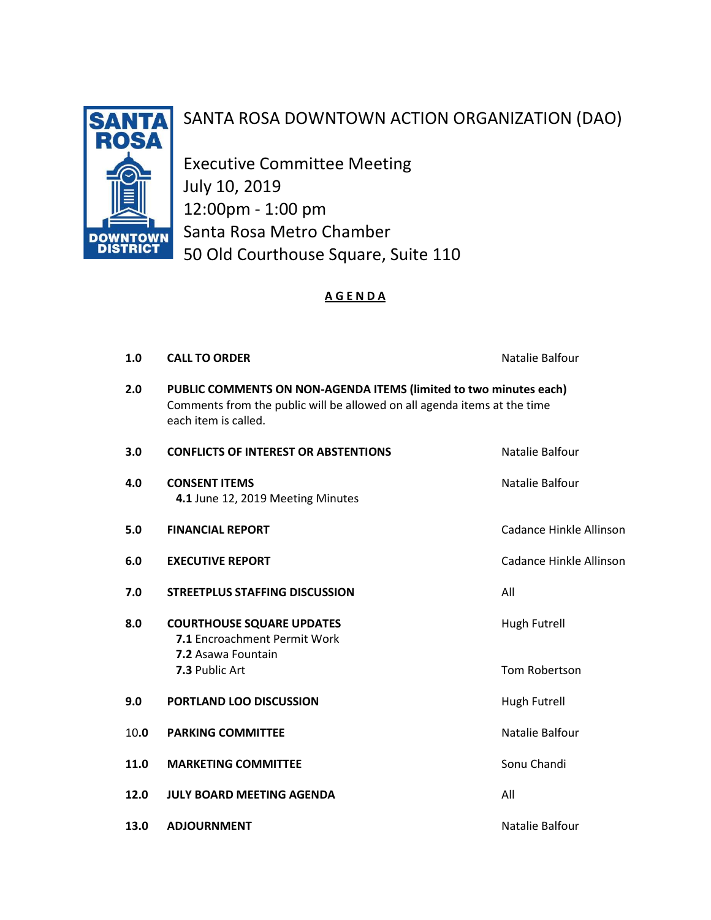

# SANTA ROSA DOWNTOWN ACTION ORGANIZATION (DAO)

Executive Committee Meeting July 10, 2019 12:00pm - 1:00 pm Santa Rosa Metro Chamber 50 Old Courthouse Square, Suite 110

### A G E N D A

| 1.0  | <b>CALL TO ORDER</b>                                                                                                                                                  | Natalie Balfour         |
|------|-----------------------------------------------------------------------------------------------------------------------------------------------------------------------|-------------------------|
| 2.0  | PUBLIC COMMENTS ON NON-AGENDA ITEMS (limited to two minutes each)<br>Comments from the public will be allowed on all agenda items at the time<br>each item is called. |                         |
| 3.0  | <b>CONFLICTS OF INTEREST OR ABSTENTIONS</b>                                                                                                                           | Natalie Balfour         |
| 4.0  | <b>CONSENT ITEMS</b><br>4.1 June 12, 2019 Meeting Minutes                                                                                                             | Natalie Balfour         |
| 5.0  | <b>FINANCIAL REPORT</b>                                                                                                                                               | Cadance Hinkle Allinson |
| 6.0  | <b>EXECUTIVE REPORT</b>                                                                                                                                               | Cadance Hinkle Allinson |
| 7.0  | <b>STREETPLUS STAFFING DISCUSSION</b>                                                                                                                                 | All                     |
| 8.0  | <b>COURTHOUSE SQUARE UPDATES</b><br>7.1 Encroachment Permit Work<br>7.2 Asawa Fountain                                                                                | Hugh Futrell            |
|      | 7.3 Public Art                                                                                                                                                        | Tom Robertson           |
| 9.0  | PORTLAND LOO DISCUSSION                                                                                                                                               | <b>Hugh Futrell</b>     |
| 10.0 | <b>PARKING COMMITTEE</b>                                                                                                                                              | Natalie Balfour         |
| 11.0 | <b>MARKETING COMMITTEE</b>                                                                                                                                            | Sonu Chandi             |
| 12.0 | <b>JULY BOARD MEETING AGENDA</b>                                                                                                                                      | All                     |
| 13.0 | <b>ADJOURNMENT</b>                                                                                                                                                    | Natalie Balfour         |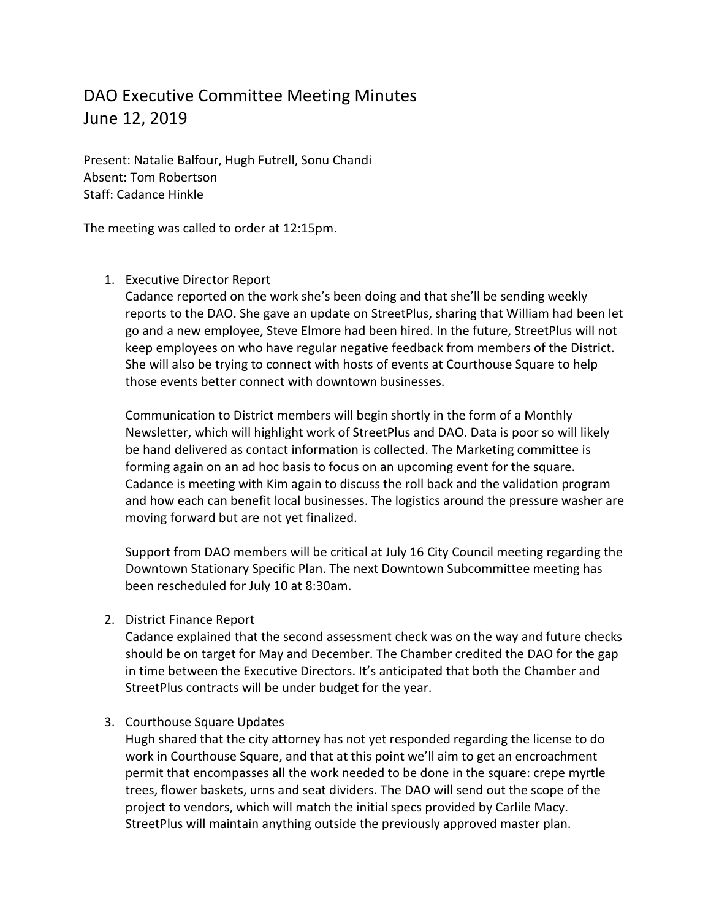## DAO Executive Committee Meeting Minutes June 12, 2019

Present: Natalie Balfour, Hugh Futrell, Sonu Chandi Absent: Tom Robertson Staff: Cadance Hinkle

The meeting was called to order at 12:15pm.

#### 1. Executive Director Report

Cadance reported on the work she's been doing and that she'll be sending weekly reports to the DAO. She gave an update on StreetPlus, sharing that William had been let go and a new employee, Steve Elmore had been hired. In the future, StreetPlus will not keep employees on who have regular negative feedback from members of the District. She will also be trying to connect with hosts of events at Courthouse Square to help those events better connect with downtown businesses.

Communication to District members will begin shortly in the form of a Monthly Newsletter, which will highlight work of StreetPlus and DAO. Data is poor so will likely be hand delivered as contact information is collected. The Marketing committee is forming again on an ad hoc basis to focus on an upcoming event for the square. Cadance is meeting with Kim again to discuss the roll back and the validation program and how each can benefit local businesses. The logistics around the pressure washer are moving forward but are not yet finalized.

Support from DAO members will be critical at July 16 City Council meeting regarding the Downtown Stationary Specific Plan. The next Downtown Subcommittee meeting has been rescheduled for July 10 at 8:30am.

2. District Finance Report

Cadance explained that the second assessment check was on the way and future checks should be on target for May and December. The Chamber credited the DAO for the gap in time between the Executive Directors. It's anticipated that both the Chamber and StreetPlus contracts will be under budget for the year.

3. Courthouse Square Updates

Hugh shared that the city attorney has not yet responded regarding the license to do work in Courthouse Square, and that at this point we'll aim to get an encroachment permit that encompasses all the work needed to be done in the square: crepe myrtle trees, flower baskets, urns and seat dividers. The DAO will send out the scope of the project to vendors, which will match the initial specs provided by Carlile Macy. StreetPlus will maintain anything outside the previously approved master plan.